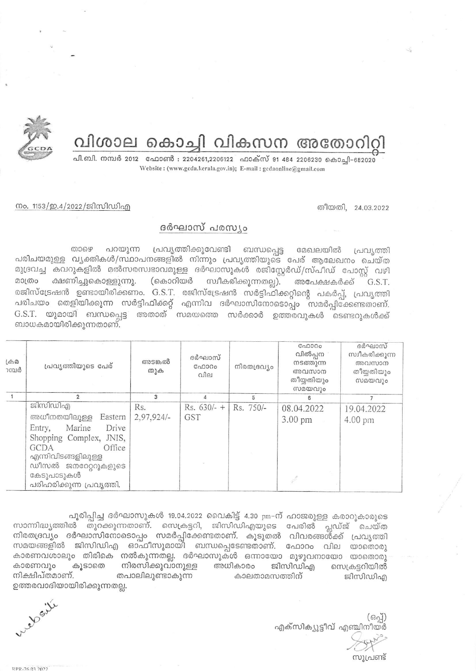വിശാല കൊച്ചി വികസന അതോറിറ്റി



പി.ബി. നമ്പർ 2012 - ഫോൺ : 2204261,2206122 - ഫാക്സ് 91 484 2206230 കൊച്ചി-682020 Website: (www.gcda.kerala.gov.in); E-mail: gcdaonline@gmail.com

തീയതി, 24.03.2022

നം. 1153/ഇ.4/2022/ജിസിഡിഎ

## ദർഘാസ് പരസ്യം

പ്രവൃത്തിക്കുവേണ്ടി ബന്ധപ്പെട്ട മേഖലയിൽ പ്രവൃത്തി താഴെ പറയുന്ന പരിചയമുള്ള വൃക്തികൾ/സ്ഥാപനങ്ങളിൽ നിന്നും പ്രവൃത്തിയുടെ പേര് ആലേഖനം ചെയ്ത മുദ്രവച്ച കവറുകളിൽ മൽസരസ്വഭാവമുള്ള ദർഘാസുകൾ രജിസ്റ്റേർഡ്/സ്പീഡ് പോസ്റ്റ് വഴി (കൊറിയർ സ്വീകരിക്കുന്നതല്ല). മാത്രം ക്ഷണിച്ചുകൊള്ളുന്നു. അപേക്ഷകർക്ക് G.S.T. രജിസ്ട്രേഷൻ ഉണ്ടായിരിക്കണം. G.S.T. രജിസ്ട്രേഷൻ സർട്ടിഫിക്കറ്റിന്റെ പകർപ്പ്, പ്രവൃത്തി പരിചയം തെളിയിക്കുന്ന സർട്ടിഫിക്കറ്റ് എന്നിവ ദർഘാസിനോടൊപ്പം സമർപ്പിക്കേണ്ടതാണ്. G.S.T. യുമായി ബന്ധപ്പെട്ട അതാത് സമയത്തെ സർക്കാർ ഉത്തരവുകൾ ടെണ്ടറുകൾക്ക് ബാധകമായിരിക്കുന്നതാണ്.

| $L \oplus \Omega$<br>ാമ്പർ | പ്രവൃത്തിയുടെ പേര്                                                                                                                                                                                         | അടങ്കൽ<br>തുക       | ദർഘാസ്<br>C <sub>0</sub> 0000<br>വില | നിരതദ്രവ്യം | C <sub>0</sub> 0000<br>വിൽപ്പന<br>നടത്തുന്ന<br>അവസാന<br>തീയ്യതിയും<br>സമയവും | ദർഘാസ്<br>സ്വീകരിക്കുന്ന<br>അവസാന<br>തീയ്യതിയും<br>സമയവും |
|----------------------------|------------------------------------------------------------------------------------------------------------------------------------------------------------------------------------------------------------|---------------------|--------------------------------------|-------------|------------------------------------------------------------------------------|-----------------------------------------------------------|
|                            |                                                                                                                                                                                                            | 3                   | 4                                    | 5           |                                                                              |                                                           |
|                            | ജിസിഡിഎ<br>അധീനതയിലുള്ള<br>Eastern<br>Drive<br>Marine<br>Entry,<br>Shopping Complex, JNIS,<br>Office<br><b>GCDA</b><br>എന്നിവിടങ്ങളിലുള്ള<br>ഡീസൽ ജനറേറ്ററുകളുടെ<br>കേടുപാടുകൾ<br>പരിഹരിക്കുന്ന പ്രവൃത്തി. | Rs.<br>$2,97,924/-$ | $Rs. 630/- +$<br><b>GST</b>          | Rs. 750/-   | 08.04.2022<br>$3.00 \text{ pm}$                                              | 19.04.2022<br>4.00 pm                                     |

പൂരിപ്പിച്ച ദർഘാസുകൾ 19.04.2022 വൈകിട്ട് 4.30 pm-ന് ഹാജരുള്ള കരാറുകാരുടെ സാന്നിദ്ധ്യത്തിൽ തുറക്കുന്നതാണ്. സെക്രട്ടറി, ജിസിഡിഎയുടെ പേരിൽ പ്ലഡ്ജ് ചെയ്ത നിരതദ്രവ്യം ദർഘാസിനോടൊപ്പം സമർപ്പിക്കേണ്ടതാണ്. കൂടുതൽ വിവരങ്ങൾ്ക്ക് പ്രവൃത്തി കാരണവശാലും തിരികെ നൽകുന്നതല്ല. ദർഘാസുകൾ ഒന്നായോ മുഴുവനായോ യാതൊരു കൂടാതെ നിരസിക്കുവാനുള്ള അധികാരം ജിസിഡിഎ കാരണവും സെക്രട്ടറിയിൽ നിക്ഷിപ്തമാണ്. തപാലിലുണ്ടാകുന്ന കാലതാമസത്തിന് ജിസിഡിഎ ഉത്തരവാദിയായിരിക്കുന്നതല്ല.

എക്സിക്യൂട്ടീവ് എഞ്ചിനീയർ

സൂപ്രണ്ട്

relative